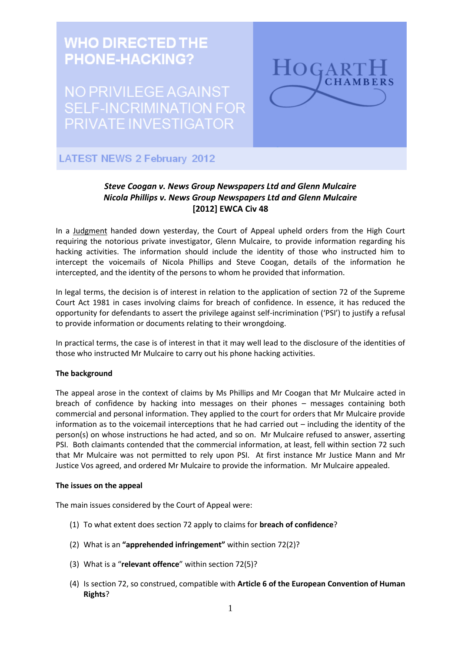

# *Steve Coogan v. News Group Newspapers Ltd and Glenn Mulcaire Nicola Phillips v. News Group Newspapers Ltd and Glenn Mulcaire* **[2012] EWCA Civ 48**

In a [Judgment](http://www.hogarthchambers.com/Asp/uploadedFiles/File/Press_Releases/Coogan_Phillips_v_%20NGN_Mulcaire.pdf) handed down yesterday, the Court of Appeal upheld orders from the High Court requiring the notorious private investigator, Glenn Mulcaire, to provide information regarding his hacking activities. The information should include the identity of those who instructed him to intercept the voicemails of Nicola Phillips and Steve Coogan, details of the information he intercepted, and the identity of the persons to whom he provided that information.

In legal terms, the decision is of interest in relation to the application of section 72 of the Supreme Court Act 1981 in cases involving claims for breach of confidence. In essence, it has reduced the opportunity for defendants to assert the privilege against self-incrimination ('PSI') to justify a refusal to provide information or documents relating to their wrongdoing.

In practical terms, the case is of interest in that it may well lead to the disclosure of the identities of those who instructed Mr Mulcaire to carry out his phone hacking activities.

# **The background**

The appeal arose in the context of claims by Ms Phillips and Mr Coogan that Mr Mulcaire acted in breach of confidence by hacking into messages on their phones – messages containing both commercial and personal information. They applied to the court for orders that Mr Mulcaire provide information as to the voicemail interceptions that he had carried out – including the identity of the person(s) on whose instructions he had acted, and so on. Mr Mulcaire refused to answer, asserting PSI. Both claimants contended that the commercial information, at least, fell within section 72 such that Mr Mulcaire was not permitted to rely upon PSI. At first instance Mr Justice Mann and Mr Justice Vos agreed, and ordered Mr Mulcaire to provide the information. Mr Mulcaire appealed.

#### **The issues on the appeal**

The main issues considered by the Court of Appeal were:

- (1) To what extent does section 72 apply to claims for **breach of confidence**?
- (2) What is an **"apprehended infringement"** within section 72(2)?
- (3) What is a "**relevant offence**" within section 72(5)?
- (4) Is section 72, so construed, compatible with **Article 6 of the European Convention of Human Rights**?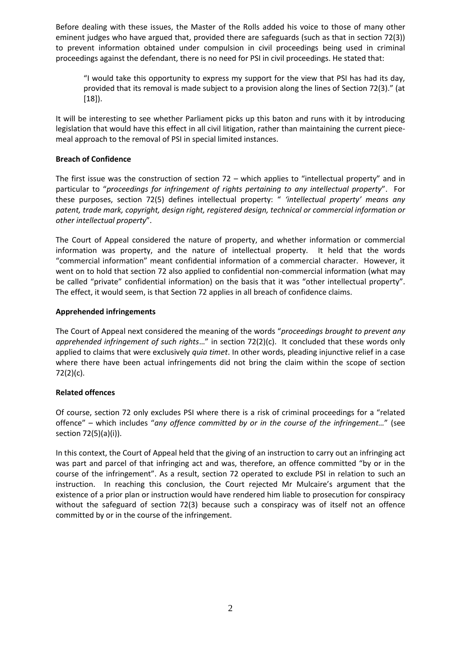Before dealing with these issues, the Master of the Rolls added his voice to those of many other eminent judges who have argued that, provided there are safeguards (such as that in section 72(3)) to prevent information obtained under compulsion in civil proceedings being used in criminal proceedings against the defendant, there is no need for PSI in civil proceedings. He stated that:

"I would take this opportunity to express my support for the view that PSI has had its day, provided that its removal is made subject to a provision along the lines of Section 72(3)." (at [18]).

It will be interesting to see whether Parliament picks up this baton and runs with it by introducing legislation that would have this effect in all civil litigation, rather than maintaining the current piecemeal approach to the removal of PSI in special limited instances.

## **Breach of Confidence**

The first issue was the construction of section 72 – which applies to "intellectual property" and in particular to "*proceedings for infringement of rights pertaining to any intellectual property*". For these purposes, section 72(5) defines intellectual property: " *'intellectual property' means any patent, trade mark, copyright, design right, registered design, technical or commercial information or other intellectual property*".

The Court of Appeal considered the nature of property, and whether information or commercial information was property, and the nature of intellectual property. It held that the words "commercial information" meant confidential information of a commercial character. However, it went on to hold that section 72 also applied to confidential non-commercial information (what may be called "private" confidential information) on the basis that it was "other intellectual property". The effect, it would seem, is that Section 72 applies in all breach of confidence claims.

## **Apprehended infringements**

The Court of Appeal next considered the meaning of the words "*proceedings brought to prevent any apprehended infringement of such rights*…" in section 72(2)(c). It concluded that these words only applied to claims that were exclusively *quia timet*. In other words, pleading injunctive relief in a case where there have been actual infringements did not bring the claim within the scope of section 72(2)(c).

#### **Related offences**

Of course, section 72 only excludes PSI where there is a risk of criminal proceedings for a "related offence" – which includes "*any offence committed by or in the course of the infringement…*" (see section 72(5)(a)(i)).

In this context, the Court of Appeal held that the giving of an instruction to carry out an infringing act was part and parcel of that infringing act and was, therefore, an offence committed "by or in the course of the infringement". As a result, section 72 operated to exclude PSI in relation to such an instruction. In reaching this conclusion, the Court rejected Mr Mulcaire's argument that the existence of a prior plan or instruction would have rendered him liable to prosecution for conspiracy without the safeguard of section 72(3) because such a conspiracy was of itself not an offence committed by or in the course of the infringement.